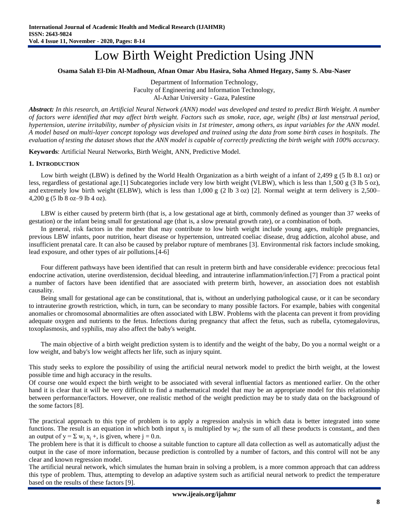# Low Birth Weight Prediction Using JNN

#### **Osama Salah El-Din Al-Madhoun, Afnan Omar Abu Hasira, Soha Ahmed Hegazy, Samy S. Abu-Naser**

Department of Information Technology, Faculty of Engineering and Information Technology, Al-Azhar University - Gaza, Palestine

*Abstract: In this research, an Artificial Neural Network (ANN) model was developed and tested to predict Birth Weight. A number of factors were identified that may affect birth weight. Factors such as smoke, race, age, weight (lbs) at last menstrual period, hypertension, uterine irritability, number of physician visits in 1st trimester, among others, as input variables for the ANN model. A model based on multi-layer concept topology was developed and trained using the data from some birth cases in hospitals. The evaluation of testing the dataset shows that the ANN model is capable of correctly predicting the birth weight with 100% accuracy.*

**Keywords**: Artificial Neural Networks, Birth Weight, ANN, Predictive Model.

#### **1. INTRODUCTION**

Low birth weight (LBW) is defined by the [World Health Organization](https://en.wikipedia.org/wiki/World_Health_Organization) as a [birth weight](https://en.wikipedia.org/wiki/Birth_weight) of a infant of 2,499 g (5 lb 8.1 oz) or less, regardless of gestational age[.\[1\]](https://en.wikipedia.org/wiki/Low_birth_weight#cite_note-1) Subcategories include very low birth weight (VLBW), which is less than 1,500 g (3 lb 5 oz), and extremely low birth weight (ELBW), which is less than  $1,000 \text{ g}$  (2 lb 3 oz) [\[2\].](https://en.wikipedia.org/wiki/Low_birth_weight#cite_note-titleeMedicine_-_Extremely_Low_Birth_Weight_Infant_:_Article_by_KN_Siva_Subramanian,_MD-2) Normal weight at term delivery is 2,500– 4,200 g (5 lb 8 oz–9 lb 4 oz).

LBW is either caused by [preterm birth](https://en.wikipedia.org/wiki/Preterm_birth) (that is, a low [gestational age](https://en.wikipedia.org/wiki/Gestational_age) at birth, commonly defined as younger than 37 weeks of gestation) or the infant being [small for gestational age](https://en.wikipedia.org/wiki/Small_for_gestational_age) (that is, a slow prenatal growth rate), or a combination of both.

In general, risk factors in the mother that may contribute to low birth weight include young ages, multiple pregnancies, previous LBW infants, poor nutrition, heart disease or [hypertension,](https://en.wikipedia.org/wiki/Hypertension) untreated [coeliac disease,](https://en.wikipedia.org/wiki/Coeliac_disease) drug addiction, alcohol abuse, and insufficient [prenatal care.](https://en.wikipedia.org/wiki/Prenatal_care) It can also be caused by [prelabor rupture of membranes](https://en.wikipedia.org/wiki/Prelabor_rupture_of_membranes) [\[3\].](https://en.wikipedia.org/wiki/Low_birth_weight#cite_note-3) Environmental risk factors include smoking, lead exposure, and other types of air pollutions[.\[4](https://en.wikipedia.org/wiki/Low_birth_weight#cite_note-TersigniCastellani2014-5)-6]

Four different pathways have been identified that can result in preterm birth and have considerable evidence: precocious fetal endocrine activation, uterine overdistension, decidual bleeding, and intrauterine inflammation/infection[.\[7\]](https://en.wikipedia.org/wiki/Low_birth_weight#cite_note-Simham2007-7) From a practical point a number of factors have been identified that are associated with preterm birth, however, an association does not establish causality.

Being small for gestational age can be constitutional, that is, without an underlying pathological cause, or it can be secondary to [intrauterine growth restriction,](https://en.wikipedia.org/wiki/Intrauterine_growth_restriction) which, in turn, can be secondary to many possible factors. For example, babies with [congenital](https://en.wikipedia.org/wiki/Congenital_anomalies)  [anomalies](https://en.wikipedia.org/wiki/Congenital_anomalies) or chromosomal abnormalities are often associated with LBW. Problems with the [placenta](https://en.wikipedia.org/wiki/Placenta) can prevent it from providing adequate oxygen and nutrients to the fetus. Infections during pregnancy that affect the fetus, such as [rubella,](https://en.wikipedia.org/wiki/Rubella) [cytomegalovirus,](https://en.wikipedia.org/wiki/Cytomegalovirus) [toxoplasmosis,](https://en.wikipedia.org/wiki/Toxoplasmosis) and [syphilis,](https://en.wikipedia.org/wiki/Syphilis) may also affect the baby's weight.

The main objective of a birth weight prediction system is to identify and the weight of the baby, Do you a normal weight or a low weight, and baby's low weight affects her life, such as injury squint.

This study seeks to explore the possibility of using the artificial neural network model to predict the birth weight, at the lowest possible time and high accuracy in the results.

Of course one would expect the birth weight to be associated with several influential factors as mentioned earlier. On the other hand it is clear that it will be very difficult to find a mathematical model that may be an appropriate model for this relationship between performance/factors. However, one realistic method of the weight prediction may be to study data on the background of the some factors [8].

The practical approach to this type of problem is to apply a regression analysis in which data is better integrated into some functions. The result is an equation in which both input  $x_j$  is multiplied by  $w_j$ ; the sum of all these products is constant,, and then an output of  $y = \sum w_i x_i +$ , is given, where  $j = 0$ .n.

The problem here is that it is difficult to choose a suitable function to capture all data collection as well as automatically adjust the output in the case of more information, because prediction is controlled by a number of factors, and this control will not be any clear and known regression model.

The artificial neural network, which simulates the human brain in solving a problem, is a more common approach that can address this type of problem. Thus, attempting to develop an adaptive system such as artificial neural network to predict the temperature based on the results of these factors [9].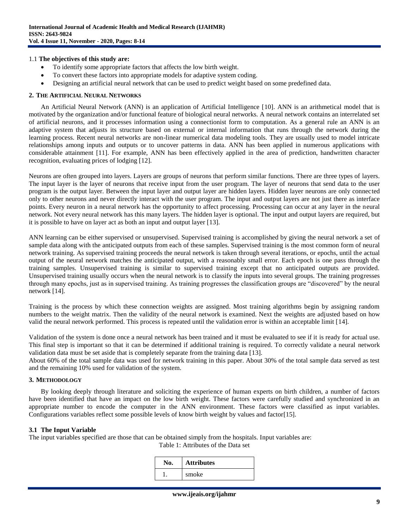#### 1.1 **The objectives of this study are:**

- To identify some appropriate factors that affects the low birth weight.
- To convert these factors into appropriate models for adaptive system coding.
- Designing an artificial neural network that can be used to predict weight based on some predefined data.

#### **2. THE ARTIFICIAL NEURAL NETWORKS**

An Artificial Neural Network (ANN) is an application of Artificial Intelligence [10]. ANN is an arithmetical model that is motivated by the organization and/or functional feature of biological neural networks. A neural network contains an interrelated set of artificial neurons, and it processes information using a connectionist form to computation. As a general rule an ANN is an adaptive system that adjusts its structure based on external or internal information that runs through the network during the learning process. Recent neural networks are non-linear numerical data modeling tools. They are usually used to model intricate relationships among inputs and outputs or to uncover patterns in data. ANN has been applied in numerous applications with considerable attainment [11]. For example, ANN has been effectively applied in the area of prediction, handwritten character recognition, evaluating prices of lodging [12].

Neurons are often grouped into layers. Layers are groups of neurons that perform similar functions. There are three types of layers. The input layer is the layer of neurons that receive input from the user program. The layer of neurons that send data to the user program is the output layer. Between the input layer and output layer are hidden layers. Hidden layer neurons are only connected only to other neurons and never directly interact with the user program. The input and output layers are not just there as interface points. Every neuron in a neural network has the opportunity to affect processing. Processing can occur at any layer in the neural network. Not every neural network has this many layers. The hidden layer is optional. The input and output layers are required, but it is possible to have on layer act as both an input and output layer [13].

ANN learning can be either supervised or unsupervised. Supervised training is accomplished by giving the neural network a set of sample data along with the anticipated outputs from each of these samples. Supervised training is the most common form of neural network training. As supervised training proceeds the neural network is taken through several iterations, or epochs, until the actual output of the neural network matches the anticipated output, with a reasonably small error. Each epoch is one pass through the training samples. Unsupervised training is similar to supervised training except that no anticipated outputs are provided. Unsupervised training usually occurs when the neural network is to classify the inputs into several groups. The training progresses through many epochs, just as in supervised training. As training progresses the classification groups are "discovered" by the neural network [14].

Training is the process by which these connection weights are assigned. Most training algorithms begin by assigning random numbers to the weight matrix. Then the validity of the neural network is examined. Next the weights are adjusted based on how valid the neural network performed. This process is repeated until the validation error is within an acceptable limit [14].

Validation of the system is done once a neural network has been trained and it must be evaluated to see if it is ready for actual use. This final step is important so that it can be determined if additional training is required. To correctly validate a neural network validation data must be set aside that is completely separate from the training data [13].

About 60% of the total sample data was used for network training in this paper. About 30% of the total sample data served as test and the remaining 10% used for validation of the system.

# **3. METHODOLOGY**

By looking deeply through literature and soliciting the experience of human experts on birth children, a number of factors have been identified that have an impact on the low birth weight. These factors were carefully studied and synchronized in an appropriate number to encode the computer in the ANN environment. These factors were classified as input variables. Configurations variables reflect some possible levels of know birth weight by values and factor[15].

#### **3.1 The Input Variable**

The input variables specified are those that can be obtained simply from the hospitals. Input variables are:

Table 1: Attributes of the Data set

| No. | <b>Attributes</b> |  |
|-----|-------------------|--|
|     | smoke             |  |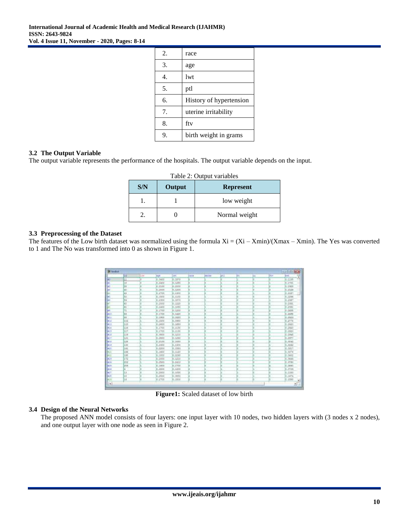| 2. | race                    |
|----|-------------------------|
| 3. | age                     |
| 4. | lwt                     |
| 5. | ptl                     |
| 6. | History of hypertension |
| 7. | uterine irritability    |
| 8. | fty                     |
| 9. | birth weight in grams   |

# **3.2 The Output Variable**

The output variable represents the performance of the hospitals. The output variable depends on the input.

| S/N | Output | Table 2: Output variables<br><b>Represent</b> |
|-----|--------|-----------------------------------------------|
|     |        | low weight                                    |
|     |        | Normal weight                                 |

# **3.3 Preprocessing of the Dataset**

The features of the Low birth dataset was normalized using the formula  $Xi = (Xi - Xmin)/(Xmax - Xmin)$ . The Yes was converted to 1 and The No was transformed into 0 as shown in Figure 1.

| <b>Billinghist</b> |               |     |            |            |             |              |             |    |          |      | <b>CARL CLUBS IN</b> |
|--------------------|---------------|-----|------------|------------|-------------|--------------|-------------|----|----------|------|----------------------|
|                    | ш             | Lun | <b>NUM</b> | be.        | <b>CATA</b> | <b>ABCAA</b> | <b>ICEL</b> | Et | т<br>ka. | Itt. | <b>but</b><br>E      |
|                    | щ             |     | 8,3400     | 1,1870     |             |              |             |    |          |      | 0.1135               |
| ы                  | 1.6           |     | $1 - 1477$ | 1.1210     |             |              |             |    |          |      | <b>CLITEL</b>        |
| 94                 | 38            |     | B.Itoo     | 8.1000     |             |              |             |    |          |      | 0.1941               |
| ы                  | iair          |     | 8:3000     | 0.1200     |             |              |             |    |          |      | 0.2124               |
| like o             | KI            |     | 812900     | 8:1300     |             |              |             |    |          |      | 0.2181               |
| lle i              | ŝ.            |     | 8,1900     | 8.1100     |             |              |             |    |          |      | 0.2296               |
| 34 E               | 59            |     | 812500     | N.1870     |             |              |             |    |          |      | 0.2547               |
| ik 1               | 莇             |     | 9.2900     | 9.1220     |             |              |             |    |          |      | 0.2381               |
| E by it            | 61            |     | 8.1400     | 8,1890     |             |              |             |    |          |      | 0.2101               |
| te u               | $\mathbf{H}$  |     | 8.1700     | 8:1200     |             |              |             |    | Ŧ        |      | 0.5136               |
| 3410               | EZ            |     | 8.1900     | 8.1420     |             |              |             |    |          |      | 0.2141               |
| Bet.c              | <b>ALK</b>    |     | 8.1800     | 813820     |             |              |             |    |          |      | 0.1112               |
| 'nш                | tot           |     | 8,1900     | 8.0800     |             |              |             |    |          |      | 0.2718               |
| <b>ALL</b>         | LYS           |     | 112600     | 8.1460     |             |              |             |    |          |      | 0.2988               |
| 381.4              | 116           |     | 8.1300     | 8,1136     |             |              |             |    |          |      | 0.2922               |
| (pri               | LIT           |     | 8,1900     | 9.1190     |             |              |             |    |          |      | 0.2902               |
| $-11$              | 3.19          |     | 8,899      | 8.1210     |             |              |             |    |          |      | 0.2945               |
| <b>HIT</b>         | H             |     | 8.3800     | 811210     |             |              |             |    |          |      | 0.2817               |
| <b>MIX</b>         | tis           |     | kistop     | 812030     |             |              |             |    |          |      | 0.0042               |
| les a              | 土地            |     | 8,2300     | 8.1300     |             |              |             |    |          |      | ic nows              |
| <b>Act</b>         | <b>141</b>    |     | 8,2200     | 8.1980     |             |              |             |    |          |      | 0.3117               |
| 胆                  | 144           |     | 31,1900    | 8:1520     |             |              |             |    |          |      | 0.55%                |
| <b>Braun</b>       | Las           |     | 8,1900     | 814290     |             |              |             |    |          |      | 0.3442               |
| <b>ALT</b>         | ig            |     | 8:1900     | 1.1210     |             |              |             |    |          |      | $0 - 3444$           |
| 9424               | 393           |     | 3.2800     | $1 - 2410$ |             |              |             |    |          |      | $2 - 2791$           |
| <b>HER</b>         | 208<br>$\sim$ |     | 8.1000     | 8.1900     |             |              |             |    |          |      | $-2883$              |
| <b>SASSE</b>       | ×.            |     | 8.1800     | 8:1300     |             |              |             |    |          | ٠    | <b>d.mss</b>         |
| <b>HIT</b>         | 1.3           |     | 8:3500     | H.1210     |             |              |             |    |          |      | 0.1333               |
| <b>Jezt</b><br>-   | 15            |     | 312900     | 1.0850     |             |              |             |    |          |      | 0.1414               |
| 3129               | Lа            |     | 914900     | H.1500     |             |              |             |    |          |      | 0.1988               |
| H+1                |               |     |            |            |             |              |             |    |          |      |                      |

**Figure1:** Scaled dataset of low birth

# **3.4 Design of the Neural Networks**

The proposed ANN model consists of four layers: one input layer with 10 nodes, two hidden layers with (3 nodes x 2 nodes), and one output layer with one node as seen in Figure 2.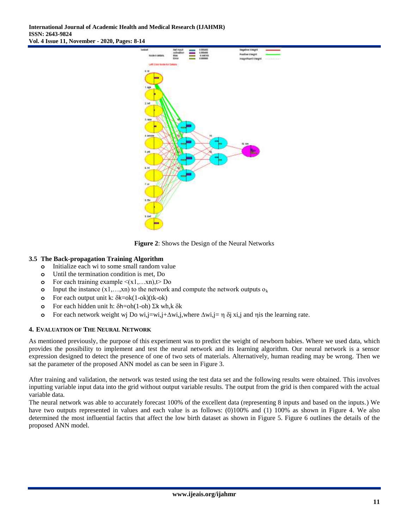

**Figure 2**: Shows the Design of the Neural Networks

# **3.5 The Back-propagation Training Algorithm**

- **o** Initialize each wi to some small random value
- **o** Until the termination condition is met, Do
- **o** For each training example  $\leq (x_1,...,x_n)$ ,  $t > Do$
- **o** Input the instance  $(x1,...,xn)$  to the network and compute the network outputs  $o_k$
- **o** For each output unit k:  $\delta k = ok(1 ok)(tk ok)$
- **o** For each hidden unit h:  $\delta h = oh(1-oh) \Sigma k wh, k \delta k$
- **o** For each network weight wj Do wi,j=wi,j+ $\Delta$ wi,j,where  $\Delta$ wi,j=  $\eta$   $\delta$ j xi,j and  $\eta$  is the learning rate.

# **4. EVALUATION OF THE NEURAL NETWORK**

As mentioned previously, the purpose of this experiment was to predict the weight of newborn babies. Where we used data, which provides the possibility to implement and test the neural network and its learning algorithm. Our neural network is a sensor expression designed to detect the presence of one of two sets of materials. Alternatively, human reading may be wrong. Then we sat the parameter of the proposed ANN model as can be seen in Figure 3.

After training and validation, the network was tested using the test data set and the following results were obtained. This involves inputting variable input data into the grid without output variable results. The output from the grid is then compared with the actual variable data.

The neural network was able to accurately forecast 100% of the excellent data (representing 8 inputs and based on the inputs.) We have two outputs represented in values and each value is as follows: (0)100% and (1) 100% as shown in Figure 4. We also determined the most influential factirs that affect the low birth dataset as shown in Figure 5. Figure 6 outlines the details of the proposed ANN model.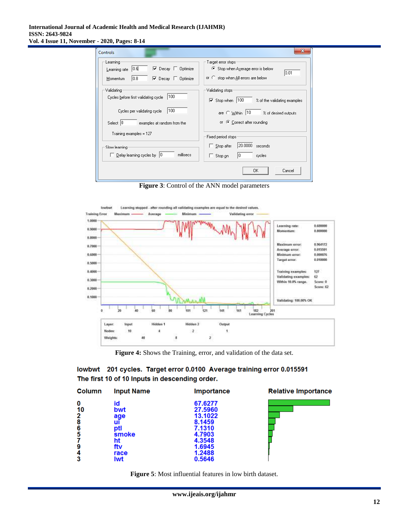#### **International Journal of Academic Health and Medical Research (IJAHMR) ISSN: 2643-9824 Vol. 4 Issue 11, November - 2020, Pages: 8-14**

| Controls                                                                                                                                   | х                                                                                                                                                         |
|--------------------------------------------------------------------------------------------------------------------------------------------|-----------------------------------------------------------------------------------------------------------------------------------------------------------|
| Learning<br>10.GI<br>$\triangledown$ Decay $\triangledown$ Optimize<br>Learning rate<br>10.8<br>$\nabla$ Decay $\Box$ Optimize<br>Momentum | Target error stops:<br>● Stop when Ayerage error is below<br> 0.01<br>or $\heartsuit$ stop when All errors are below                                      |
| Validating<br>100<br>Cycles before first validating cycle<br>100<br>Cycles per validating cycle<br>Select 0<br>examples at random from the | Validating stops:<br>$\nabla$ Stop when 100<br>% of the validating examples<br>are C Within 10<br>% of desired outputs<br>C Correct after rounding<br>OF. |
| Training examples = 127                                                                                                                    | Fixed period stops:                                                                                                                                       |
| Slow learning<br>millisecs<br>$\Box$ Delay learning cycles by $\Box$ 0                                                                     | 20.0000<br>$\Box$ Stop after<br>seconds<br>10<br>Stop on<br>cycles<br>П.                                                                                  |
|                                                                                                                                            | 0K<br>Cancel                                                                                                                                              |

**Figure 3**: Control of the ANN model parameters



**Figure 4:** Shows the Training, error, and validation of the data set.

|  | lowbwt 201 cycles.  Target error 0.0100  Average training error 0.015591 |  |
|--|--------------------------------------------------------------------------|--|
|  | The first 10 of 10 Inputs in descending order.                           |  |

| <b>Column</b> | <b>Input Name</b> | Importance         | <b>Relative Importance</b> |
|---------------|-------------------|--------------------|----------------------------|
| 0             | id                | 67.6277            |                            |
| 10<br>2       | bwt<br>age        | 27,5960<br>13.1022 |                            |
| 8             | uı                | 8.1459             |                            |
| 6             | ptl               | 7.1310             |                            |
| 5             | smoke<br>ht       | 4.7903<br>4.3548   |                            |
| 9             | ftv               | 1.6945             |                            |
| 4             | race              | 1.2488             |                            |
|               | lwt               | 0.5646             |                            |

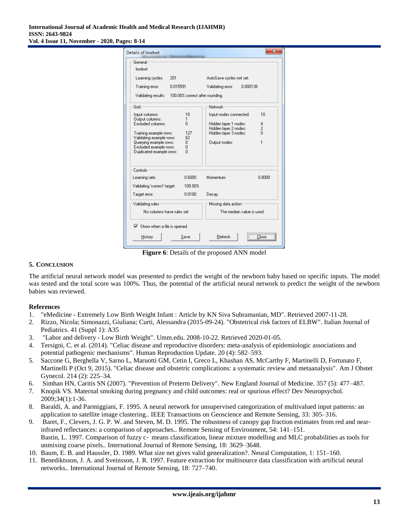| Details of lowbwt                                                                                                                                                                                                                                | ж                                                                                                                                                                            |  |  |
|--------------------------------------------------------------------------------------------------------------------------------------------------------------------------------------------------------------------------------------------------|------------------------------------------------------------------------------------------------------------------------------------------------------------------------------|--|--|
| General<br>Inwhwt                                                                                                                                                                                                                                |                                                                                                                                                                              |  |  |
| Learning cycles:<br>201<br>Training error:<br>0.015591<br>Validating results:<br>100.00% correct after rounding.                                                                                                                                 | AutoSave cycles not set.<br>Validating error:<br>0.000138                                                                                                                    |  |  |
| Grid<br>10<br>Input columns:<br>Output columns:<br>1<br>Excluded columns:<br>0<br>127<br>Training example rows:<br>62<br>Validating example rows:<br>Querying example rows:<br>0<br>Excluded example rows:<br>۵<br>Duplicated example rows:<br>n | Network:<br>10<br>Input nodes connected:<br>Hidden layer 1 nodes:<br>4<br>$\overline{c}$<br>Hidden layer 2 nodes:<br>$\Omega$<br>Hidden layer 3 nodes:<br>Output nodes:<br>1 |  |  |
| Controls:<br>0.6000<br>Learning rate:<br>Validating 'correct' target:<br>100.00%<br>0.0100<br>Target error:                                                                                                                                      | Momentum:<br>0.8000<br>Decay.                                                                                                                                                |  |  |
| Validating rules<br>No columns have rules set.                                                                                                                                                                                                   | Missing data action<br>The median value is used.                                                                                                                             |  |  |
| $\triangledown$ Show when a file is opened<br>History<br>Save                                                                                                                                                                                    | $\overline{\text{Close}}$<br>Refresh                                                                                                                                         |  |  |

**Figure 6**: Details of the proposed ANN model

# **5. CONCLUSION**

The artificial neural network model was presented to predict the weight of the newborn baby based on specific inputs. The model was tested and the total score was 100%. Thus, the potential of the artificial neural network to predict the weight of the newborn babies was reviewed.

# **References**

- 1. "eMedicine Extremely Low Birth Weight Infant : Article by KN Siva Subramanian, MD". Retrieved 2007-11-28.
- 2. Rizzo, Nicola; Simonazzi, Giuliana; Curti, Alessandra (2015-09-24). ["Obstetrical risk factors of ELBW".](https://www.ncbi.nlm.nih.gov/pmc/articles/PMC4595176) Italian Journal of Pediatrics. 41 (Suppl 1): A35
- 3. ["Labor and delivery -](http://www.umm.edu/pregnancy/000142.htm) Low Birth Weight". Umm.edu. 2008-10-22. Retrieved 2020-01-05.
- 4. Tersigni, C. et al. (2014). "Celiac disease and reproductive disorders: meta-analysis of epidemiologic associations and potential pathogenic mechanisms". Human Reproduction Update. 20 (4): 582–593.
- 5. Saccone G, Berghella V, Sarno L, Maruotti GM, Cetin I, Greco L, Khashan AS, McCarthy F, Martinelli D, Fortunato F, Martinelli P (Oct 9, 2015). "Celiac disease and obstetric complications: a systematic review and metaanalysis". Am J Obstet Gynecol. 214 (2): 225–34.
- 6. Simhan HN, Caritis SN (2007). "Prevention of Preterm Delivery". New England Journal of Medicine. 357 (5): 477–487.
- 7. Knopik VS. Maternal smoking during pregnancy and child outcomes: real or spurious effect? Dev Neuropsychol. 2009;34(1):1-36.
- 8. Baraldi, A. and Parmiggiani, F. 1995. A neural network for unsupervised categorization of multivalued input patterns: an application to satellite image clustering.. IEEE Transactions on Geoscience and Remote Sensing, 33: 305–316.
- 9. Baret, F., Clevers, J. G. P. W. and Steven, M. D. 1995. The robustness of canopy gap fraction estimates from red and nearinfrared reflectances: a comparison of approaches.. Remote Sensing of Environment, 54: 141–151. Bastin, L. 1997. Comparison of fuzzy c- means classification, linear mixture modelling and MLC probabilities as tools for unmixing coarse pixels.. International Journal of Remote Sensing, 18: 3629–3648.
- 10. Baum, E. B. and Haussler, D. 1989. What size net gives valid generalization?. Neural Computation, 1: 151–160.
- 11. Benediktsson, J. A. and Sveinsson, J. R. 1997. Feature extraction for multisource data classification with artificial neural networks.. International Journal of Remote Sensing, 18: 727–740.